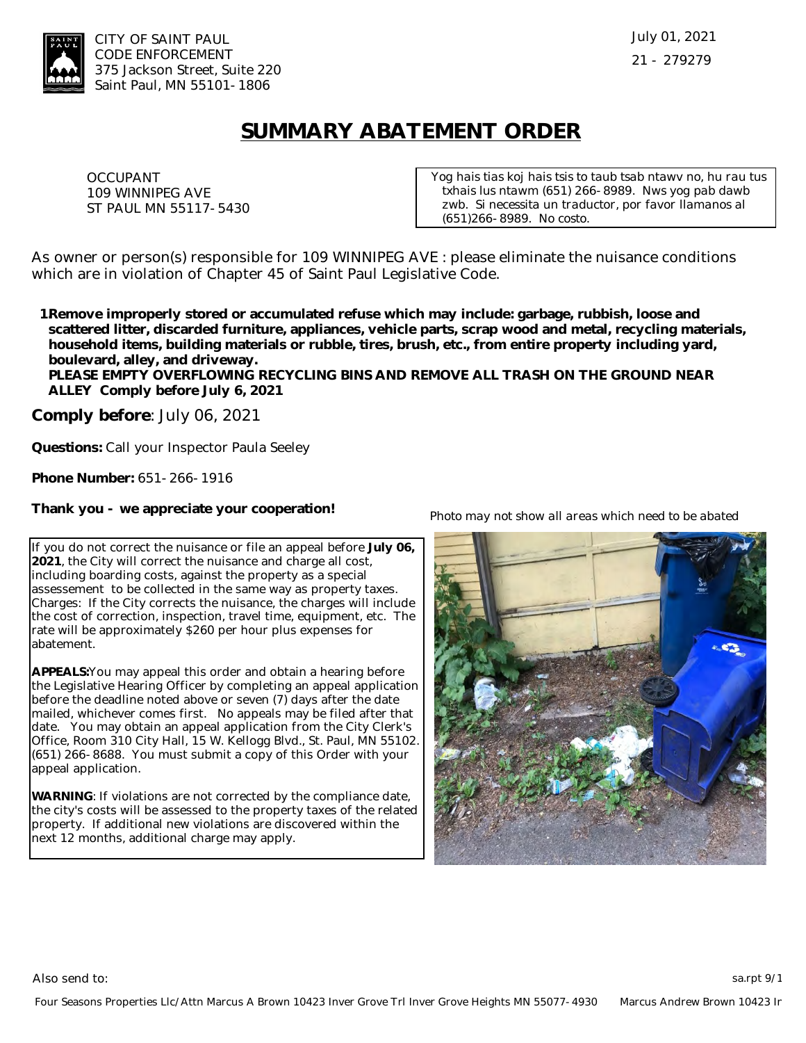

## **SUMMARY ABATEMENT ORDER**

OCCUPANT 109 WINNIPEG AVE ST PAUL MN 55117-5430 *Yog hais tias koj hais tsis to taub tsab ntawv no, hu rau tus txhais lus ntawm (651) 266-8989. Nws yog pab dawb zwb. Si necessita un traductor, por favor llamanos al (651)266-8989. No costo.*

As owner or person(s) responsible for 109 WINNIPEG AVE : please eliminate the nuisance conditions which are in violation of Chapter 45 of Saint Paul Legislative Code.

**Remove improperly stored or accumulated refuse which may include: garbage, rubbish, loose and 1.scattered litter, discarded furniture, appliances, vehicle parts, scrap wood and metal, recycling materials, household items, building materials or rubble, tires, brush, etc., from entire property including yard, boulevard, alley, and driveway.** 

**PLEASE EMPTY OVERFLOWING RECYCLING BINS AND REMOVE ALL TRASH ON THE GROUND NEAR ALLEY Comply before July 6, 2021**

**Comply before**: July 06, 2021

**Questions:** Call your Inspector Paula Seeley

**Phone Number:** 651-266-1916

**Thank you - we appreciate your cooperation!**

If you do not correct the nuisance or file an appeal before **July 06, 2021**, the City will correct the nuisance and charge all cost, including boarding costs, against the property as a special assessement to be collected in the same way as property taxes. Charges: If the City corrects the nuisance, the charges will include the cost of correction, inspection, travel time, equipment, etc. The rate will be approximately \$260 per hour plus expenses for abatement.

**APPEALS:**You may appeal this order and obtain a hearing before the Legislative Hearing Officer by completing an appeal application before the deadline noted above or seven (7) days after the date mailed, whichever comes first. No appeals may be filed after that date. You may obtain an appeal application from the City Clerk's Office, Room 310 City Hall, 15 W. Kellogg Blvd., St. Paul, MN 55102. (651) 266-8688. You must submit a copy of this Order with your appeal application.

**WARNING**: If violations are not corrected by the compliance date, the city's costs will be assessed to the property taxes of the related property. If additional new violations are discovered within the next 12 months, additional charge may apply.

*Photo may not show all areas which need to be abated*



Also send to: sa.rpt 9/15 and to: sa.rpt 9/15 and to: sa.rpt 9/15 and to: sa.rpt 9/15 and to: sa.rpt 9/15 and to: sa.rpt 9/15 and to: sa.rpt 9/15 and to: sa.rpt 9/15 and to: sa.rpt 9/15 and to: sa.rpt 9/15 and to: sa.rpt 9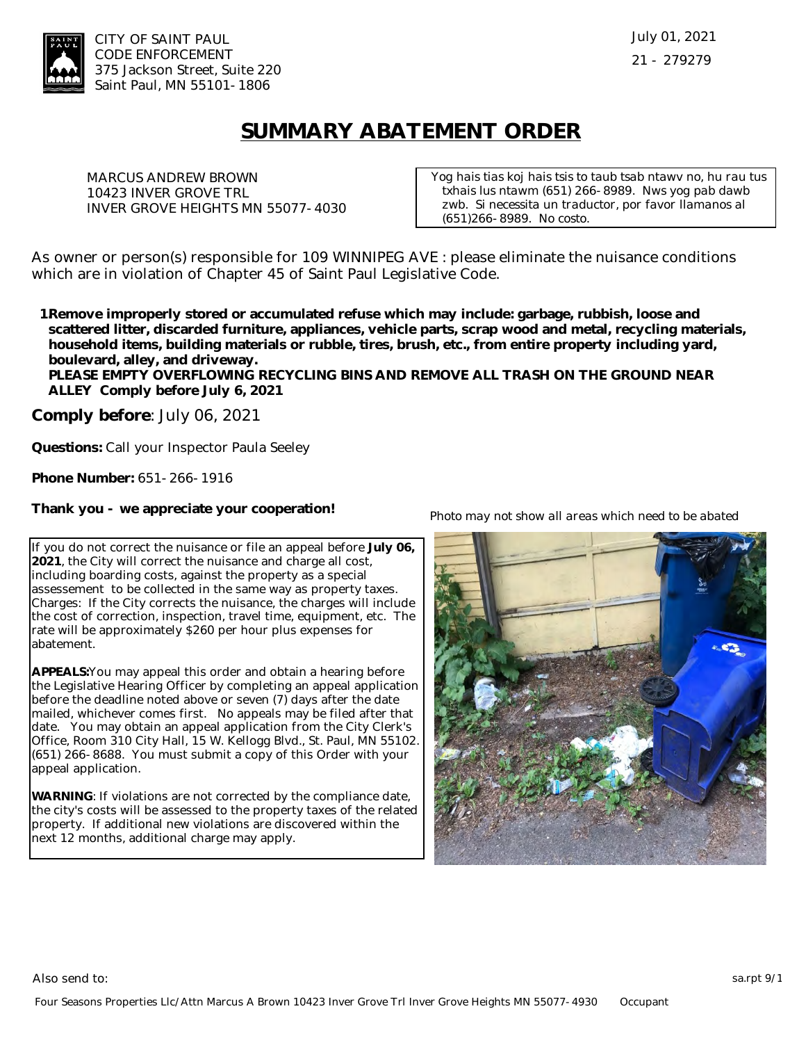

## **SUMMARY ABATEMENT ORDER**

MARCUS ANDREW BROWN 10423 INVER GROVE TRL INVER GROVE HEIGHTS MN 55077-4030 *Yog hais tias koj hais tsis to taub tsab ntawv no, hu rau tus txhais lus ntawm (651) 266-8989. Nws yog pab dawb zwb. Si necessita un traductor, por favor llamanos al (651)266-8989. No costo.*

As owner or person(s) responsible for 109 WINNIPEG AVE : please eliminate the nuisance conditions which are in violation of Chapter 45 of Saint Paul Legislative Code.

**Remove improperly stored or accumulated refuse which may include: garbage, rubbish, loose and 1.scattered litter, discarded furniture, appliances, vehicle parts, scrap wood and metal, recycling materials, household items, building materials or rubble, tires, brush, etc., from entire property including yard, boulevard, alley, and driveway.** 

**PLEASE EMPTY OVERFLOWING RECYCLING BINS AND REMOVE ALL TRASH ON THE GROUND NEAR ALLEY Comply before July 6, 2021**

**Comply before**: July 06, 2021

**Questions:** Call your Inspector Paula Seeley

**Phone Number:** 651-266-1916

**Thank you - we appreciate your cooperation!**

If you do not correct the nuisance or file an appeal before **July 06, 2021**, the City will correct the nuisance and charge all cost, including boarding costs, against the property as a special assessement to be collected in the same way as property taxes. Charges: If the City corrects the nuisance, the charges will include the cost of correction, inspection, travel time, equipment, etc. The rate will be approximately \$260 per hour plus expenses for abatement.

**APPEALS:**You may appeal this order and obtain a hearing before the Legislative Hearing Officer by completing an appeal application before the deadline noted above or seven (7) days after the date mailed, whichever comes first. No appeals may be filed after that date. You may obtain an appeal application from the City Clerk's Office, Room 310 City Hall, 15 W. Kellogg Blvd., St. Paul, MN 55102. (651) 266-8688. You must submit a copy of this Order with your appeal application.

**WARNING**: If violations are not corrected by the compliance date, the city's costs will be assessed to the property taxes of the related property. If additional new violations are discovered within the next 12 months, additional charge may apply.

*Photo may not show all areas which need to be abated*



Also send to: sa.rpt 9/15 and to: sa.rpt 9/15 and to: sa.rpt 9/15 and to: sa.rpt 9/15 and to: sa.rpt 9/15 and to: sa.rpt 9/15 and to: sa.rpt 9/15 and to: sa.rpt 9/15 and to: sa.rpt 9/15 and to: sa.rpt 9/15 and to: sa.rpt 9